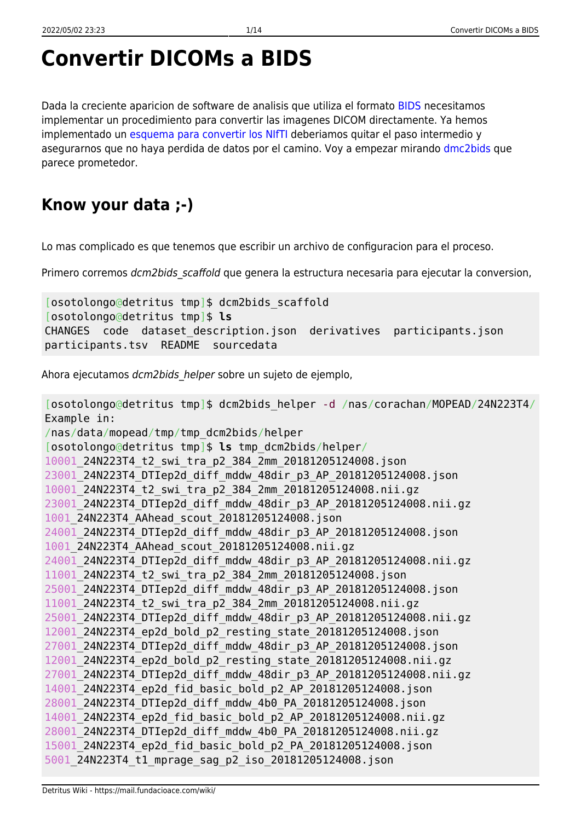## **Convertir DICOMs a BIDS**

Dada la creciente aparicion de software de analisis que utiliza el formato [BIDS](http://bids.neuroimaging.io/) necesitamos implementar un procedimiento para convertir las imagenes DICOM directamente. Ya hemos implementado un [esquema para convertir los NIfTI](https://mail.fundacioace.com/wiki/doku.php?id=neuroimagen:bids) deberiamos quitar el paso intermedio y asegurarnos que no haya perdida de datos por el camino. Voy a empezar mirando [dmc2bids](https://cbedetti.github.io/Dcm2Bids/) que parece prometedor.

## **Know your data ;-)**

Lo mas complicado es que tenemos que escribir un archivo de configuracion para el proceso.

Primero corremos *dcm2bids* scaffold que genera la estructura necesaria para ejecutar la conversion,

```
[osotolongo@detritus tmp]$ dcm2bids_scaffold
[osotolongo@detritus tmp]$ ls
CHANGES code dataset description.json derivatives participants.json
participants.tsv README sourcedata
```
Ahora ejecutamos dcm2bids helper sobre un sujeto de ejemplo,

[osotolongo@detritus tmp]\$ dcm2bids\_helper -d /nas/corachan/MOPEAD/24N223T4/ Example in: /nas/data/mopead/tmp/tmp\_dcm2bids/helper [osotolongo@detritus tmp]\$ **ls** tmp\_dcm2bids/helper/ 10001\_24N223T4\_t2\_swi\_tra\_p2\_384\_2mm\_20181205124008.json 23001\_24N223T4\_DTIep2d\_diff\_mddw\_48dir\_p3\_AP\_20181205124008.json 10001\_24N223T4\_t2\_swi\_tra\_p2\_384\_2mm\_20181205124008.nii.gz 23001\_24N223T4\_DTIep2d\_diff\_mddw\_48dir\_p3\_AP\_20181205124008.nii.gz 1001\_24N223T4\_AAhead\_scout\_20181205124008.json 24001\_24N223T4\_DTIep2d\_diff\_mddw\_48dir\_p3\_AP\_20181205124008.json 1001\_24N223T4\_AAhead\_scout\_20181205124008.nii.gz 24001\_24N223T4\_DTIep2d\_diff\_mddw\_48dir\_p3\_AP\_20181205124008.nii.gz 11001\_24N223T4\_t2\_swi\_tra\_p2\_384\_2mm\_20181205124008.json 25001\_24N223T4\_DTIep2d\_diff\_mddw\_48dir\_p3\_AP\_20181205124008.json 11001\_24N223T4\_t2\_swi\_tra\_p2\_384\_2mm\_20181205124008.nii.gz 25001\_24N223T4\_DTIep2d\_diff\_mddw\_48dir\_p3\_AP\_20181205124008.nii.gz 12001\_24N223T4\_ep2d\_bold\_p2\_resting\_state\_20181205124008.json 27001\_24N223T4\_DTIep2d\_diff\_mddw\_48dir\_p3\_AP\_20181205124008.json 12001\_24N223T4\_ep2d\_bold\_p2\_resting\_state\_20181205124008.nii.gz 27001\_24N223T4\_DTIep2d\_diff\_mddw\_48dir\_p3\_AP\_20181205124008.nii.gz 14001\_24N223T4\_ep2d\_fid\_basic\_bold\_p2\_AP\_20181205124008.json 28001\_24N223T4\_DTIep2d\_diff\_mddw\_4b0\_PA\_20181205124008.json 14001\_24N223T4\_ep2d\_fid\_basic\_bold\_p2\_AP\_20181205124008.nii.gz 28001\_24N223T4\_DTIep2d\_diff\_mddw\_4b0\_PA\_20181205124008.nii.gz 15001\_24N223T4\_ep2d\_fid\_basic\_bold\_p2\_PA\_20181205124008.json 5001\_24N223T4\_t1\_mprage\_sag\_p2\_iso\_20181205124008.json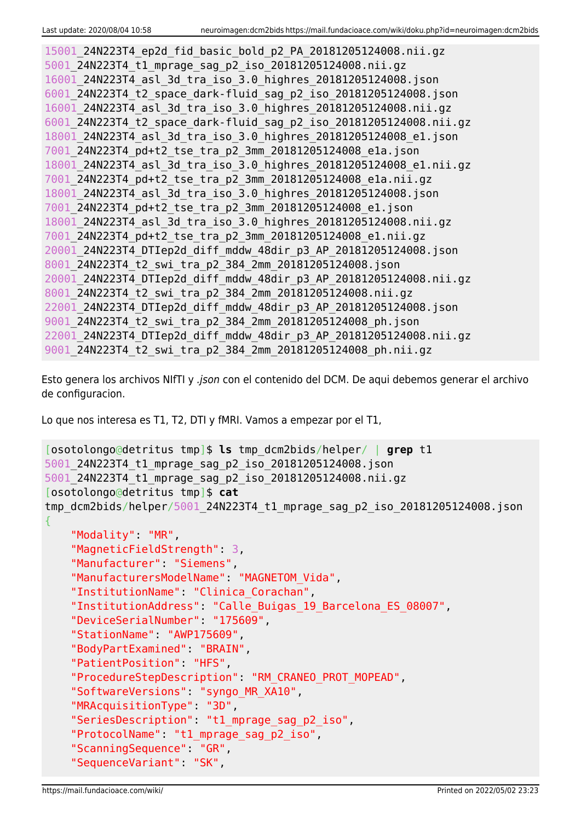```
15001_24N223T4_ep2d_fid_basic_bold_p2_PA_20181205124008.nii.gz
5001_24N223T4_t1_mprage_sag_p2_iso_20181205124008.nii.gz
16001_24N223T4_asl_3d_tra_iso_3.0_highres_20181205124008.json
6001_24N223T4_t2_space_dark-fluid_sag_p2_iso_20181205124008.json
16001_24N223T4_asl_3d_tra_iso_3.0_highres_20181205124008.nii.gz
6001_24N223T4_t2_space_dark-fluid_sag_p2_iso_20181205124008.nii.gz
18001_24N223T4_asl_3d_tra_iso_3.0_highres_20181205124008_e1.json
7001_24N223T4_pd+t2_tse_tra_p2_3mm_20181205124008_e1a.json
18001_24N223T4_asl_3d_tra_iso_3.0_highres_20181205124008_e1.nii.gz
7001_24N223T4_pd+t2_tse_tra_p2_3mm_20181205124008_e1a.nii.gz
18001_24N223T4_asl_3d_tra_iso_3.0_highres_20181205124008.json
7001_24N223T4_pd+t2_tse_tra_p2_3mm_20181205124008_e1.json
18001_24N223T4_asl_3d_tra_iso_3.0_highres_20181205124008.nii.gz
7001_24N223T4_pd+t2_tse_tra_p2_3mm_20181205124008_e1.nii.gz
20001_24N223T4_DTIep2d_diff_mddw_48dir_p3_AP_20181205124008.json
8001_24N223T4_t2_swi_tra_p2_384_2mm_20181205124008.json
20001_24N223T4_DTIep2d_diff_mddw_48dir_p3_AP_20181205124008.nii.gz
8001_24N223T4_t2_swi_tra_p2_384_2mm_20181205124008.nii.gz
22001_24N223T4_DTIep2d_diff_mddw_48dir_p3_AP_20181205124008.json
9001_24N223T4_t2_swi_tra_p2_384_2mm_20181205124008_ph.json
22001_24N223T4_DTIep2d_diff_mddw_48dir_p3_AP_20181205124008.nii.gz
9001_24N223T4_t2_swi_tra_p2_384_2mm_20181205124008_ph.nii.gz
```
Esto genera los archivos NIfTI y .json con el contenido del DCM. De aqui debemos generar el archivo de configuracion.

Lo que nos interesa es T1, T2, DTI y fMRI. Vamos a empezar por el T1,

```
[osotolongo@detritus tmp]$ ls tmp_dcm2bids/helper/ | grep t1
5001_24N223T4_t1_mprage_sag_p2_iso_20181205124008.json
5001_24N223T4_t1_mprage_sag_p2_iso_20181205124008.nii.gz
[osotolongo@detritus tmp]$ cat
tmp_dcm2bids/helper/5001_24N223T4_t1_mprage_sag_p2_iso_20181205124008.json
{
     "Modality": "MR",
     "MagneticFieldStrength": 3,
     "Manufacturer": "Siemens",
     "ManufacturersModelName": "MAGNETOM_Vida",
     "InstitutionName": "Clinica_Corachan",
     "InstitutionAddress": "Calle_Buigas_19_Barcelona_ES_08007",
     "DeviceSerialNumber": "175609",
     "StationName": "AWP175609",
     "BodyPartExamined": "BRAIN",
     "PatientPosition": "HFS",
     "ProcedureStepDescription": "RM_CRANEO_PROT_MOPEAD",
     "SoftwareVersions": "syngo_MR_XA10",
     "MRAcquisitionType": "3D",
     "SeriesDescription": "t1_mprage_sag_p2_iso",
     "ProtocolName": "t1_mprage_sag_p2_iso",
     "ScanningSequence": "GR",
     "SequenceVariant": "SK",
```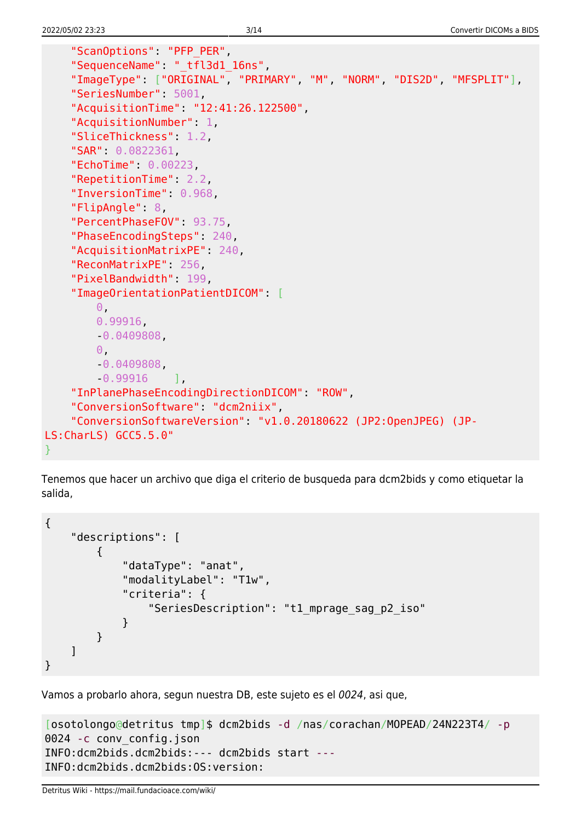}

```
 "ScanOptions": "PFP_PER",
     "SequenceName": "_tfl3d1_16ns",
     "ImageType": ["ORIGINAL", "PRIMARY", "M", "NORM", "DIS2D", "MFSPLIT"],
     "SeriesNumber": 5001,
     "AcquisitionTime": "12:41:26.122500",
     "AcquisitionNumber": 1,
     "SliceThickness": 1.2,
     "SAR": 0.0822361,
     "EchoTime": 0.00223,
     "RepetitionTime": 2.2,
     "InversionTime": 0.968,
     "FlipAngle": 8,
     "PercentPhaseFOV": 93.75,
     "PhaseEncodingSteps": 240,
     "AcquisitionMatrixPE": 240,
     "ReconMatrixPE": 256,
     "PixelBandwidth": 199,
     "ImageOrientationPatientDICOM": [
         0,
         0.99916,
         -0.0409808,
        \Theta,
         -0.0409808,
         -0.99916 ],
     "InPlanePhaseEncodingDirectionDICOM": "ROW",
     "ConversionSoftware": "dcm2niix",
     "ConversionSoftwareVersion": "v1.0.20180622 (JP2:OpenJPEG) (JP-
LS:CharLS) GCC5.5.0"
```
Tenemos que hacer un archivo que diga el criterio de busqueda para dcm2bids y como etiquetar la salida,

```
{
     "descriptions": [
         {
             "dataType": "anat",
             "modalityLabel": "T1w",
             "criteria": {
                  "SeriesDescription": "t1_mprage_sag_p2_iso"
 }
         }
     ]
}
```
Vamos a probarlo ahora, segun nuestra DB, este sujeto es el 0024, asi que,

```
[osotolongo@detritus tmp]$ dcm2bids -d /nas/corachan/MOPEAD/24N223T4/ -p
0024 -c conv config.json
INFO:dcm2bids.dcm2bids:--- dcm2bids start ---
INFO:dcm2bids.dcm2bids:OS:version:
```

```
Detritus Wiki - https://mail.fundacioace.com/wiki/
```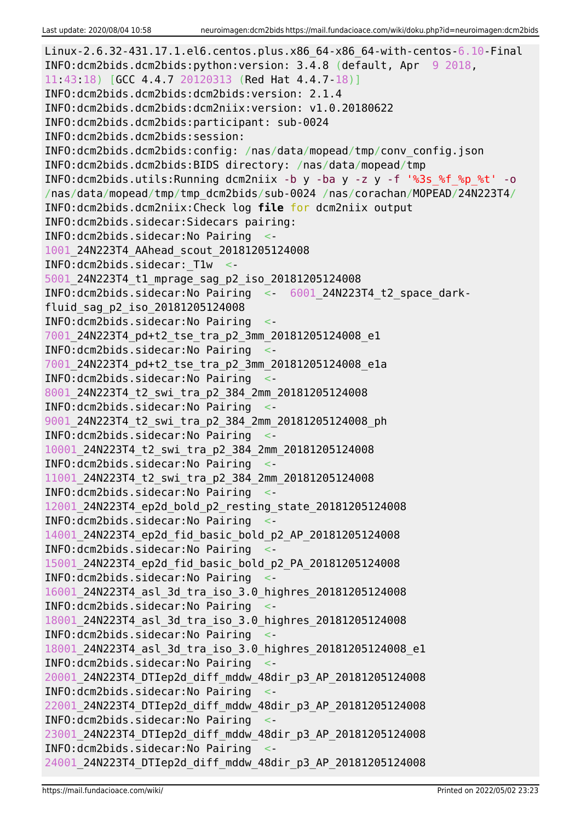```
Linux-2.6.32-431.17.1.el6.centos.plus.x86_64-x86_64-with-centos-6.10-Final
INFO:dcm2bids.dcm2bids:python:version: 3.4.8 (default, Apr 9 2018,
11:43:18) [GCC 4.4.7 20120313 (Red Hat 4.4.7-18)]
INFO:dcm2bids.dcm2bids:dcm2bids:version: 2.1.4
INFO:dcm2bids.dcm2bids:dcm2niix:version: v1.0.20180622
INFO:dcm2bids.dcm2bids:participant: sub-0024
INFO:dcm2bids.dcm2bids:session:
INFO:dcm2bids.dcm2bids:config: /nas/data/mopead/tmp/conv_config.json
INFO:dcm2bids.dcm2bids:BIDS directory: /nas/data/mopead/tmp
INFO:dcm2bids.utils:Running dcm2niix -b y -ba y -z y -f '%3s_%f_%p_%t' -o
/nas/data/mopead/tmp/tmp_dcm2bids/sub-0024 /nas/corachan/MOPEAD/24N223T4/
INFO:dcm2bids.dcm2niix:Check log file for dcm2niix output
INFO:dcm2bids.sidecar:Sidecars pairing:
INFO:dcm2bids.sidecar:No Pairing <-
1001_24N223T4_AAhead_scout_20181205124008
INFO:dcm2bids.sidecar:_T1w <-
5001_24N223T4_t1_mprage_sag_p2_iso_20181205124008
INFO:dcm2bids.sidecar:No Pairing <- 6001_24N223T4_t2_space_dark-
fluid_sag_p2_iso_20181205124008
INFO:dcm2bids.sidecar:No Pairing <-
7001_24N223T4_pd+t2_tse_tra_p2_3mm_20181205124008_e1
INFO:dcm2bids.sidecar:No Pairing <-
7001_24N223T4_pd+t2_tse_tra_p2_3mm_20181205124008_e1a
INFO:dcm2bids.sidecar:No Pairing <-
8001_24N223T4_t2_swi_tra_p2_384_2mm_20181205124008
INFO:dcm2bids.sidecar:No Pairing <-
9001_24N223T4_t2_swi_tra_p2_384_2mm_20181205124008_ph
INFO:dcm2bids.sidecar:No Pairing <-
10001_24N223T4_t2_swi_tra_p2_384_2mm_20181205124008
INFO:dcm2bids.sidecar:No Pairing <-
11001_24N223T4_t2_swi_tra_p2_384_2mm_20181205124008
INFO:dcm2bids.sidecar:No Pairing <-
12001_24N223T4_ep2d_bold_p2_resting_state_20181205124008
INFO:dcm2bids.sidecar:No Pairing <-
14001_24N223T4_ep2d_fid_basic_bold_p2_AP_20181205124008
INFO:dcm2bids.sidecar:No Pairing <-
15001_24N223T4_ep2d_fid_basic_bold_p2_PA_20181205124008
INFO:dcm2bids.sidecar:No Pairing <-
16001_24N223T4_asl_3d_tra_iso_3.0_highres_20181205124008
INFO:dcm2bids.sidecar:No Pairing <-
18001_24N223T4_asl_3d_tra_iso_3.0_highres_20181205124008
INFO:dcm2bids.sidecar:No Pairing <-
18001_24N223T4_asl_3d_tra_iso_3.0_highres_20181205124008_e1
INFO:dcm2bids.sidecar:No Pairing <-
20001_24N223T4_DTIep2d_diff_mddw_48dir_p3_AP_20181205124008
INFO:dcm2bids.sidecar:No Pairing <-
22001_24N223T4_DTIep2d_diff_mddw_48dir_p3_AP_20181205124008
INFO:dcm2bids.sidecar:No Pairing <-
23001_24N223T4_DTIep2d_diff_mddw_48dir_p3_AP_20181205124008
INFO:dcm2bids.sidecar:No Pairing <-
24001_24N223T4_DTIep2d_diff_mddw_48dir_p3_AP_20181205124008
```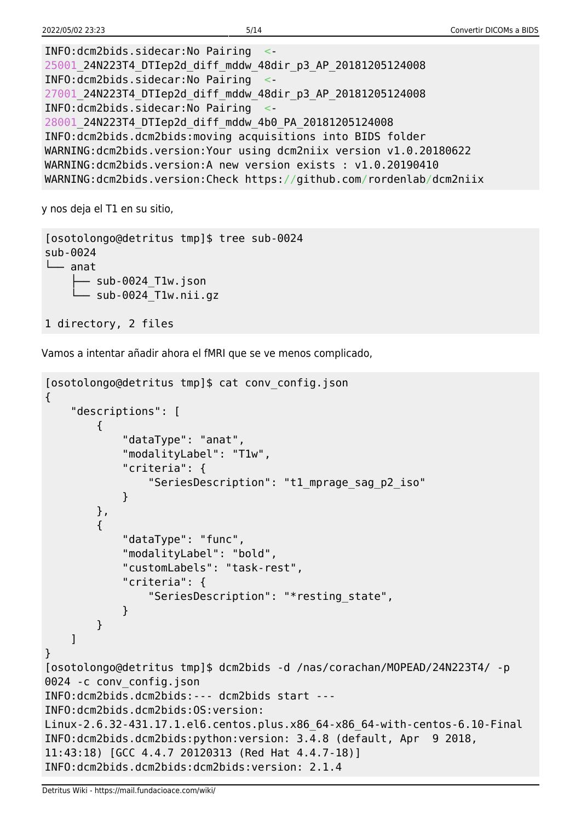INFO:dcm2bids.sidecar:No Pairing <- 25001\_24N223T4\_DTIep2d\_diff\_mddw\_48dir\_p3\_AP\_20181205124008 INFO:dcm2bids.sidecar:No Pairing <- 27001\_24N223T4\_DTIep2d\_diff\_mddw\_48dir\_p3\_AP\_20181205124008 INFO:dcm2bids.sidecar:No Pairing <- 28001\_24N223T4\_DTIep2d\_diff\_mddw\_4b0\_PA\_20181205124008 INFO:dcm2bids.dcm2bids:moving acquisitions into BIDS folder WARNING:dcm2bids.version:Your using dcm2niix version v1.0.20180622 WARNING:dcm2bids.version:A new version exists : v1.0.20190410 WARNING:dcm2bids.version:Check https://github.com/rordenlab/dcm2niix

y nos deja el T1 en su sitio,

[osotolongo@detritus tmp]\$ tree sub-0024 sub-0024 └── anat ├── sub-0024\_T1w.json - sub-0024 T1w.nii.gz 1 directory, 2 files

Vamos a intentar añadir ahora el fMRI que se ve menos complicado,

```
[osotolongo@detritus tmp]$ cat conv_config.json
{
     "descriptions": [
         {
             "dataType": "anat",
             "modalityLabel": "T1w",
             "criteria": {
                 "SeriesDescription": "t1_mprage_sag_p2_iso"
 }
         },
\overline{\mathcal{L}} "dataType": "func",
             "modalityLabel": "bold",
             "customLabels": "task-rest",
             "criteria": {
                 "SeriesDescription": "*resting_state",
 }
         }
    ]
}
[osotolongo@detritus tmp]$ dcm2bids -d /nas/corachan/MOPEAD/24N223T4/ -p
0024 -c conv_config.json
INFO:dcm2bids.dcm2bids:--- dcm2bids start ---
INFO:dcm2bids.dcm2bids:OS:version:
Linux-2.6.32-431.17.1.el6.centos.plus.x86_64-x86_64-with-centos-6.10-Final
INFO:dcm2bids.dcm2bids:python:version: 3.4.8 (default, Apr 9 2018,
11:43:18) [GCC 4.4.7 20120313 (Red Hat 4.4.7-18)]
INFO:dcm2bids.dcm2bids:dcm2bids:version: 2.1.4
```
Detritus Wiki - https://mail.fundacioace.com/wiki/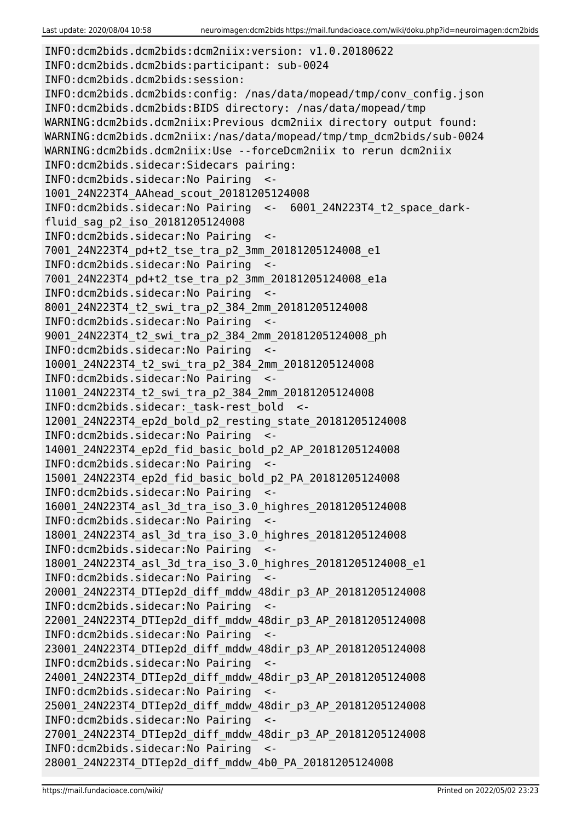INFO:dcm2bids.dcm2bids:dcm2niix:version: v1.0.20180622 INFO:dcm2bids.dcm2bids:participant: sub-0024 INFO:dcm2bids.dcm2bids:session: INFO:dcm2bids.dcm2bids:config: /nas/data/mopead/tmp/conv\_config.json INFO:dcm2bids.dcm2bids:BIDS directory: /nas/data/mopead/tmp WARNING:dcm2bids.dcm2niix:Previous dcm2niix directory output found: WARNING:dcm2bids.dcm2niix:/nas/data/mopead/tmp/tmp\_dcm2bids/sub-0024 WARNING:dcm2bids.dcm2niix:Use --forceDcm2niix to rerun dcm2niix INFO:dcm2bids.sidecar:Sidecars pairing: INFO:dcm2bids.sidecar:No Pairing <- 1001\_24N223T4\_AAhead\_scout\_20181205124008 INFO:dcm2bids.sidecar:No Pairing <- 6001\_24N223T4\_t2\_space\_darkfluid\_sag\_p2\_iso\_20181205124008 INFO:dcm2bids.sidecar:No Pairing <- 7001\_24N223T4\_pd+t2\_tse\_tra\_p2\_3mm\_20181205124008\_e1 INFO:dcm2bids.sidecar:No Pairing <- 7001\_24N223T4\_pd+t2\_tse\_tra\_p2\_3mm\_20181205124008\_e1a INFO:dcm2bids.sidecar:No Pairing <- 8001\_24N223T4\_t2\_swi\_tra\_p2\_384\_2mm\_20181205124008 INFO:dcm2bids.sidecar:No Pairing <- 9001\_24N223T4\_t2\_swi\_tra\_p2\_384\_2mm\_20181205124008\_ph INFO:dcm2bids.sidecar:No Pairing <- 10001\_24N223T4\_t2\_swi\_tra\_p2\_384\_2mm\_20181205124008 INFO:dcm2bids.sidecar:No Pairing <- 11001\_24N223T4\_t2\_swi\_tra\_p2\_384\_2mm\_20181205124008 INFO:dcm2bids.sidecar:\_task-rest\_bold <- 12001\_24N223T4\_ep2d\_bold\_p2\_resting\_state\_20181205124008 INFO:dcm2bids.sidecar:No Pairing <- 14001\_24N223T4\_ep2d\_fid\_basic\_bold\_p2\_AP\_20181205124008 INFO:dcm2bids.sidecar:No Pairing <- 15001\_24N223T4\_ep2d\_fid\_basic\_bold\_p2\_PA\_20181205124008 INFO:dcm2bids.sidecar:No Pairing <- 16001\_24N223T4\_asl\_3d\_tra\_iso\_3.0\_highres\_20181205124008 INFO:dcm2bids.sidecar:No Pairing <- 18001\_24N223T4\_asl\_3d\_tra\_iso\_3.0\_highres\_20181205124008 INFO:dcm2bids.sidecar:No Pairing <- 18001\_24N223T4\_asl\_3d\_tra\_iso\_3.0\_highres\_20181205124008\_e1 INFO:dcm2bids.sidecar:No Pairing <- 20001\_24N223T4\_DTIep2d\_diff\_mddw\_48dir\_p3\_AP\_20181205124008 INFO:dcm2bids.sidecar:No Pairing <- 22001\_24N223T4\_DTIep2d\_diff\_mddw\_48dir\_p3\_AP\_20181205124008 INFO:dcm2bids.sidecar:No Pairing <- 23001\_24N223T4\_DTIep2d\_diff\_mddw\_48dir\_p3\_AP\_20181205124008 INFO:dcm2bids.sidecar:No Pairing <- 24001\_24N223T4\_DTIep2d\_diff\_mddw\_48dir\_p3\_AP\_20181205124008 INFO:dcm2bids.sidecar:No Pairing <- 25001\_24N223T4\_DTIep2d\_diff\_mddw\_48dir\_p3\_AP\_20181205124008 INFO:dcm2bids.sidecar:No Pairing <- 27001\_24N223T4\_DTIep2d\_diff\_mddw\_48dir\_p3\_AP\_20181205124008 INFO:dcm2bids.sidecar:No Pairing <- 28001\_24N223T4\_DTIep2d\_diff\_mddw\_4b0\_PA\_20181205124008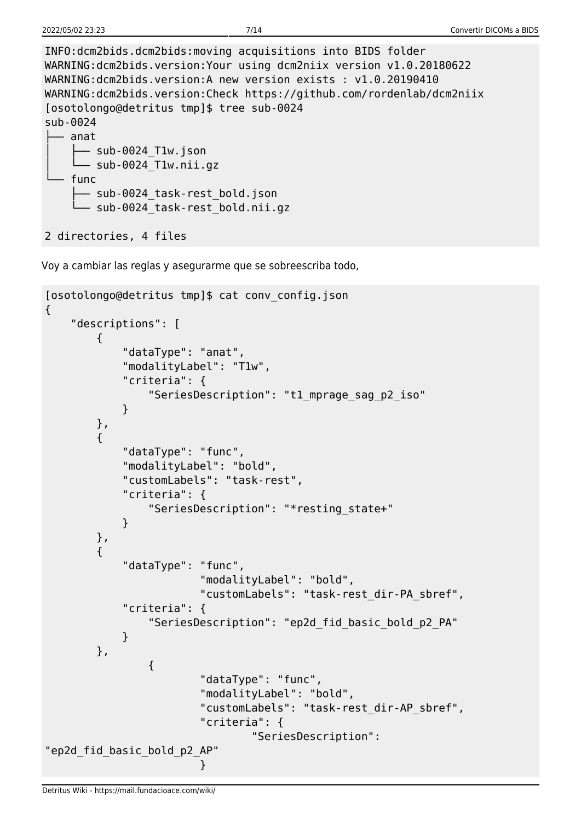| INFO:dcm2bids.dcm2bids:moving acquisitions into BIDS folder          |
|----------------------------------------------------------------------|
| WARNING:dcm2bids.version:Your using dcm2niix version v1.0.20180622   |
| WARNING:dcm2bids.version:A new version exists : v1.0.20190410        |
| WARNING:dcm2bids.version:Check https://github.com/rordenlab/dcm2niix |
| [osotolongo@detritus tmp]\$ tree sub-0024                            |
| sub-0024                                                             |
| anat                                                                 |
| — sub-0024 T1w.json                                                  |
| $\Box$ sub-0024 Tlw.nii.gz                                           |
| func                                                                 |
| sub-0024 task-rest bold.json                                         |
| sub-0024 task-rest bold.nii.gz                                       |
|                                                                      |
| 2 directories, 4 files                                               |

Voy a cambiar las reglas y asegurarme que se sobreescriba todo,

```
[osotolongo@detritus tmp]$ cat conv_config.json
{
     "descriptions": [
          {
              "dataType": "anat",
              "modalityLabel": "T1w",
              "criteria": {
                   "SeriesDescription": "t1_mprage_sag_p2_iso"
 }
          },
          {
              "dataType": "func",
              "modalityLabel": "bold",
              "customLabels": "task-rest",
              "criteria": {
                   "SeriesDescription": "*resting_state+"
 }
          },
          {
              "dataType": "func",
                            "modalityLabel": "bold",
                            "customLabels": "task-rest_dir-PA_sbref",
              "criteria": {
                   "SeriesDescription": "ep2d_fid_basic_bold_p2_PA"
 }
          },
\{ "dataType": "func",
                            "modalityLabel": "bold",
                            "customLabels": "task-rest_dir-AP_sbref",
                            "criteria": {
                                     "SeriesDescription":
"ep2d_fid_basic_bold_p2_AP"
denotes the contract of the contract of the contract of the contract of the contract of the contract of the con
```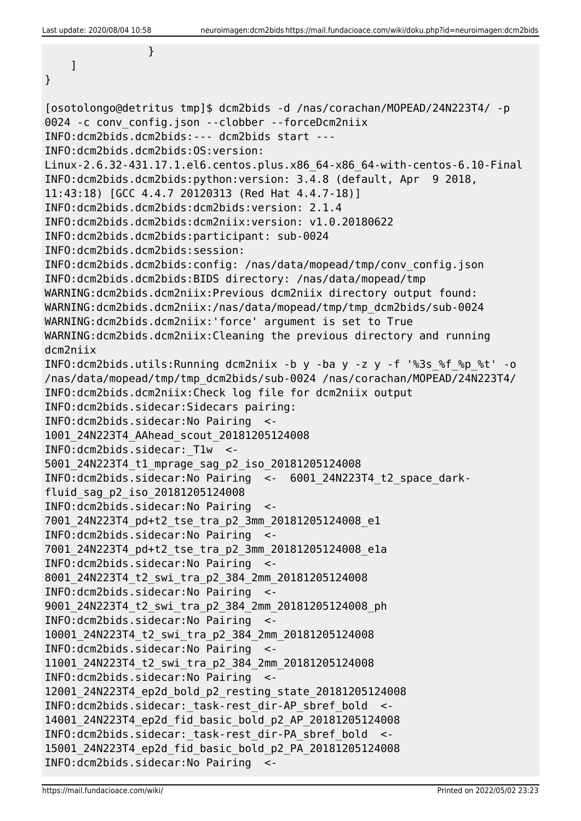```
 }
    ]
}
[osotolongo@detritus tmp]$ dcm2bids -d /nas/corachan/MOPEAD/24N223T4/ -p
0024 -c conv_config.json --clobber --forceDcm2niix
INFO:dcm2bids.dcm2bids:--- dcm2bids start ---
INFO:dcm2bids.dcm2bids:OS:version:
Linux-2.6.32-431.17.1.el6.centos.plus.x86_64-x86_64-with-centos-6.10-Final
INFO:dcm2bids.dcm2bids:python:version: 3.4.8 (default, Apr 9 2018,
11:43:18) [GCC 4.4.7 20120313 (Red Hat 4.4.7-18)]
INFO:dcm2bids.dcm2bids:dcm2bids:version: 2.1.4
INFO:dcm2bids.dcm2bids:dcm2niix:version: v1.0.20180622
INFO:dcm2bids.dcm2bids:participant: sub-0024
INFO:dcm2bids.dcm2bids:session:
INFO:dcm2bids.dcm2bids:config: /nas/data/mopead/tmp/conv_config.json
INFO:dcm2bids.dcm2bids:BIDS directory: /nas/data/mopead/tmp
WARNING:dcm2bids.dcm2niix:Previous dcm2niix directory output found:
WARNING:dcm2bids.dcm2niix:/nas/data/mopead/tmp/tmp_dcm2bids/sub-0024
WARNING:dcm2bids.dcm2niix:'force' argument is set to True
WARNING:dcm2bids.dcm2niix:Cleaning the previous directory and running
dcm2niix
INFO:dcm2bids.utils:Running dcm2niix -b y -ba y -z y -f '%3s_%f_%p_%t' -o
/nas/data/mopead/tmp/tmp_dcm2bids/sub-0024 /nas/corachan/MOPEAD/24N223T4/
INFO:dcm2bids.dcm2niix:Check log file for dcm2niix output
INFO:dcm2bids.sidecar:Sidecars pairing:
INFO:dcm2bids.sidecar:No Pairing <-
1001_24N223T4_AAhead_scout_20181205124008
INFO:dcm2bids.sidecar:_T1w <-
5001_24N223T4_t1_mprage_sag_p2_iso_20181205124008
INFO:dcm2bids.sidecar:No Pairing <- 6001_24N223T4_t2_space_dark-
fluid_sag_p2_iso_20181205124008
INFO:dcm2bids.sidecar:No Pairing <-
7001_24N223T4_pd+t2_tse_tra_p2_3mm_20181205124008_e1
INFO:dcm2bids.sidecar:No Pairing <-
7001_24N223T4_pd+t2_tse_tra_p2_3mm_20181205124008_e1a
INFO:dcm2bids.sidecar:No Pairing <-
8001_24N223T4_t2_swi_tra_p2_384_2mm_20181205124008
INFO:dcm2bids.sidecar:No Pairing <-
9001_24N223T4_t2_swi_tra_p2_384_2mm_20181205124008_ph
INFO:dcm2bids.sidecar:No Pairing <-
10001_24N223T4_t2_swi_tra_p2_384_2mm_20181205124008
INFO:dcm2bids.sidecar:No Pairing <-
11001_24N223T4_t2_swi_tra_p2_384_2mm_20181205124008
INFO:dcm2bids.sidecar:No Pairing <-
12001_24N223T4_ep2d_bold_p2_resting_state_20181205124008
INFO:dcm2bids.sidecar:_task-rest_dir-AP_sbref_bold <-
14001_24N223T4_ep2d_fid_basic_bold_p2_AP_20181205124008
INFO:dcm2bids.sidecar:_task-rest_dir-PA_sbref_bold <-
15001_24N223T4_ep2d_fid_basic_bold_p2_PA_20181205124008
INFO:dcm2bids.sidecar:No Pairing <-
```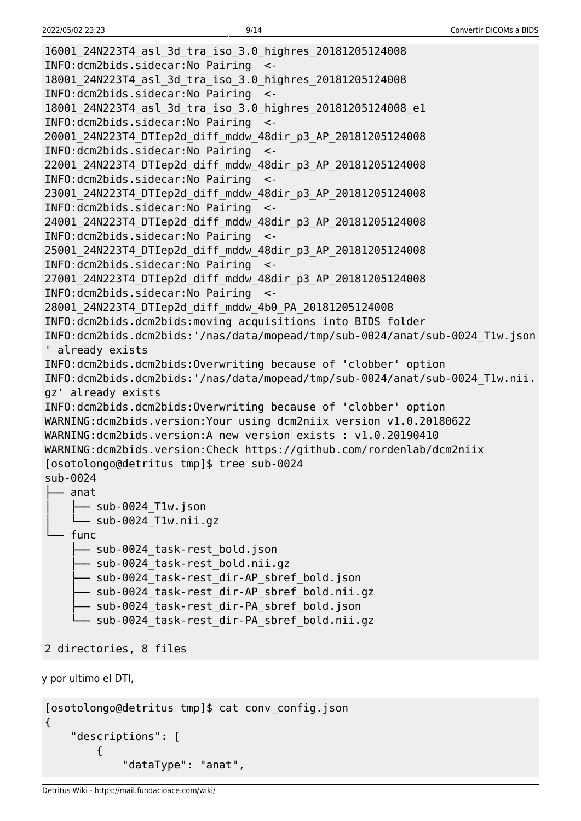```
16001_24N223T4_asl_3d_tra_iso_3.0_highres_20181205124008
INFO:dcm2bids.sidecar:No Pairing <-
18001_24N223T4_asl_3d_tra_iso_3.0_highres_20181205124008
INFO:dcm2bids.sidecar:No Pairing <-
18001_24N223T4_asl_3d_tra_iso_3.0_highres_20181205124008_e1
INFO:dcm2bids.sidecar:No Pairing <-
20001_24N223T4_DTIep2d_diff_mddw_48dir_p3_AP_20181205124008
INFO:dcm2bids.sidecar:No Pairing <-
22001_24N223T4_DTIep2d_diff_mddw_48dir_p3_AP_20181205124008
INFO:dcm2bids.sidecar:No Pairing <-
23001_24N223T4_DTIep2d_diff_mddw_48dir_p3_AP_20181205124008
INFO:dcm2bids.sidecar:No Pairing <-
24001_24N223T4_DTIep2d_diff_mddw_48dir_p3_AP_20181205124008
INFO:dcm2bids.sidecar:No Pairing <-
25001_24N223T4_DTIep2d_diff_mddw_48dir_p3_AP_20181205124008
INFO:dcm2bids.sidecar:No Pairing <-
27001_24N223T4_DTIep2d_diff_mddw_48dir_p3_AP_20181205124008
INFO:dcm2bids.sidecar:No Pairing <-
28001_24N223T4_DTIep2d_diff_mddw_4b0_PA_20181205124008
INFO:dcm2bids.dcm2bids:moving acquisitions into BIDS folder
INFO:dcm2bids.dcm2bids:'/nas/data/mopead/tmp/sub-0024/anat/sub-0024_T1w.json
' already exists
INFO:dcm2bids.dcm2bids:Overwriting because of 'clobber' option
INFO:dcm2bids.dcm2bids:'/nas/data/mopead/tmp/sub-0024/anat/sub-0024_T1w.nii.
gz' already exists
INFO:dcm2bids.dcm2bids:Overwriting because of 'clobber' option
WARNING:dcm2bids.version:Your using dcm2niix version v1.0.20180622
WARNING:dcm2bids.version:A new version exists : v1.0.20190410
WARNING:dcm2bids.version:Check https://github.com/rordenlab/dcm2niix
[osotolongo@detritus tmp]$ tree sub-0024
sub-0024
   ├── anat
       - sub-0024 T1w.json
      │ └── sub-0024_T1w.nii.gz
   - func
       - sub-0024 task-rest bold.json
       ├── sub-0024_task-rest_bold.nii.gz
       - sub-0024 task-rest dir-AP sbref bold.json
       - sub-0024 task-rest dir-AP sbref bold.nii.gz
       - sub-0024 task-rest dir-PA sbref bold.json
        └── sub-0024_task-rest_dir-PA_sbref_bold.nii.gz
2 directories, 8 files
y por ultimo el DTI,
```

```
[osotolongo@detritus tmp]$ cat conv_config.json
{
     "descriptions": [
         {
              "dataType": "anat",
```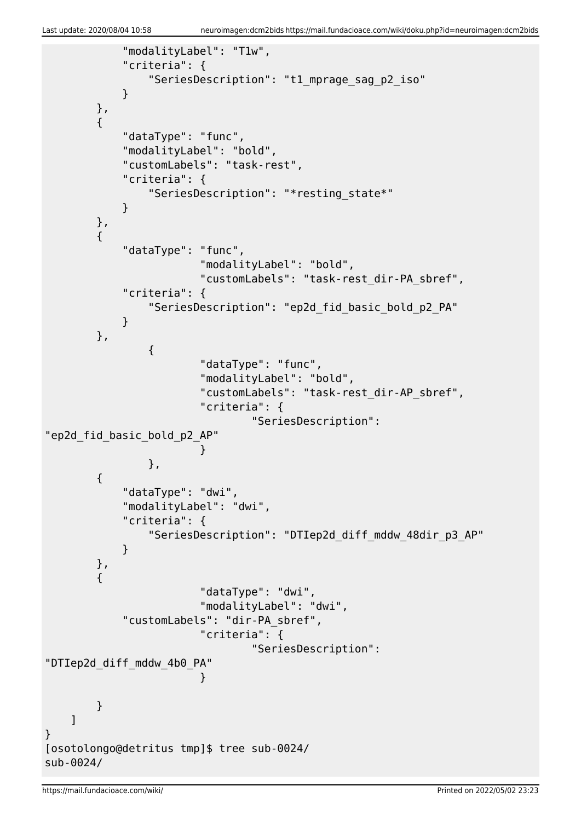```
 "modalityLabel": "T1w",
               "criteria": {
                    "SeriesDescription": "t1_mprage_sag_p2_iso"
 }
          },
          {
               "dataType": "func",
               "modalityLabel": "bold",
               "customLabels": "task-rest",
               "criteria": {
                    "SeriesDescription": "*resting_state*"
 }
          },
          {
               "dataType": "func",
                              "modalityLabel": "bold",
                              "customLabels": "task-rest_dir-PA_sbref",
               "criteria": {
                    "SeriesDescription": "ep2d_fid_basic_bold_p2_PA"
 }
          },
\{ "dataType": "func",
                              "modalityLabel": "bold",
                              "customLabels": "task-rest_dir-AP_sbref",
                              "criteria": {
                                        "SeriesDescription":
"ep2d_fid_basic_bold_p2_AP"
denotes the contract of the contract of the contract of the contract of the contract of the contract of the con
, and the state \} , \{\overline{\mathcal{L}} "dataType": "dwi",
               "modalityLabel": "dwi",
               "criteria": {
                    "SeriesDescription": "DTIep2d_diff_mddw_48dir_p3_AP"
 }
          },
          {
                              "dataType": "dwi",
                              "modalityLabel": "dwi",
               "customLabels": "dir-PA_sbref",
                              "criteria": {
                                        "SeriesDescription":
"DTIep2d_diff_mddw_4b0_PA"
denotes the contract of the contract of the contract of the contract of the contract of the contract of the con
          }
     ]
}
[osotolongo@detritus tmp]$ tree sub-0024/
sub-0024/
```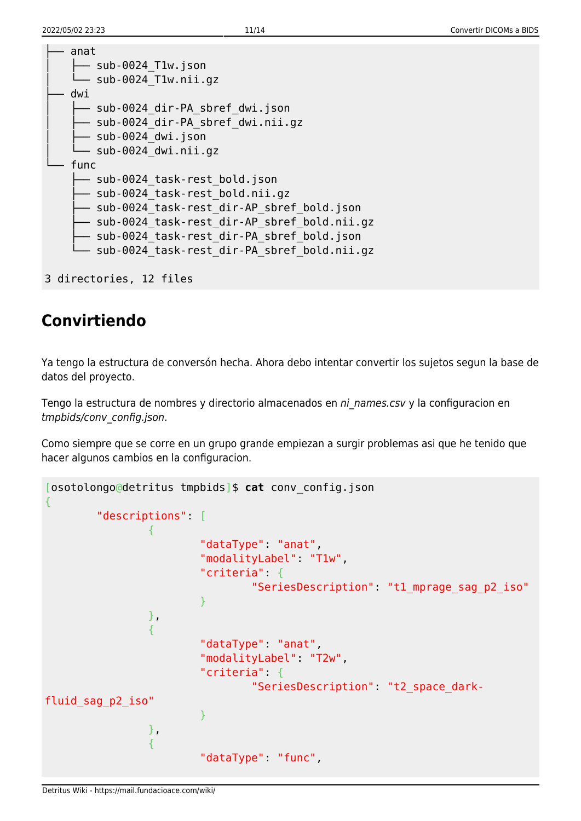| anat<br>$sub-0024$ Tlw.json<br>sub-0024 Tlw.nii.gz                                                                                                                                                                                                             |
|----------------------------------------------------------------------------------------------------------------------------------------------------------------------------------------------------------------------------------------------------------------|
| dwi<br>sub-0024 dir-PA sbref dwi.json<br>sub-0024 dir-PA sbref dwi.nii.gz<br>sub-0024 dwi.json<br>sub-0024 dwi.nii.gz                                                                                                                                          |
| func<br>sub-0024 task-rest bold.json<br>sub-0024 task-rest bold.nii.gz<br>sub-0024 task-rest dir-AP sbref bold.json<br>sub-0024 task-rest dir-AP sbref bold.nii.gz<br>sub-0024 task-rest dir-PA sbref bold.json<br>sub-0024 task-rest dir-PA sbref bold.nii.gz |
|                                                                                                                                                                                                                                                                |

```
3 directories, 12 files
```
## **Convirtiendo**

Ya tengo la estructura de conversón hecha. Ahora debo intentar convertir los sujetos segun la base de datos del proyecto.

Tengo la estructura de nombres y directorio almacenados en ni names.csv y la configuracion en tmpbids/conv\_config.json.

Como siempre que se corre en un grupo grande empiezan a surgir problemas asi que he tenido que hacer algunos cambios en la configuracion.

```
[osotolongo@detritus tmpbids]$ cat conv_config.json
{
              "descriptions": [
 {
                                          "dataType": "anat",
                                         "modalityLabel": "T1w",
                                         "criteria": {
                                                       "SeriesDescription": "t1_mprage_sag_p2_iso"
denotes the contract of the contract of the second property of the contract of the second property of the second \} },
 {
                                          "dataType": "anat",
                                         "modalityLabel": "T2w",
                                         "criteria": {
                                                       "SeriesDescription": "t2_space_dark-
fluid_sag_p2_iso"
denotes the contract of the contract of the second property of the contract of the second property of the second property of the second property of the second property of the second property of the second property of the s
, where \mathbb{R} , we have \mathbb{R} , \mathbb{R} {
                                          "dataType": "func",
```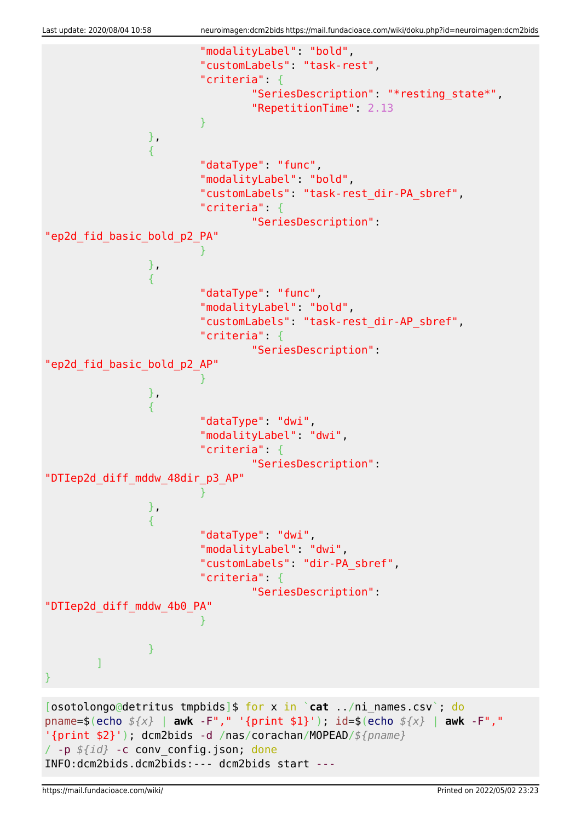

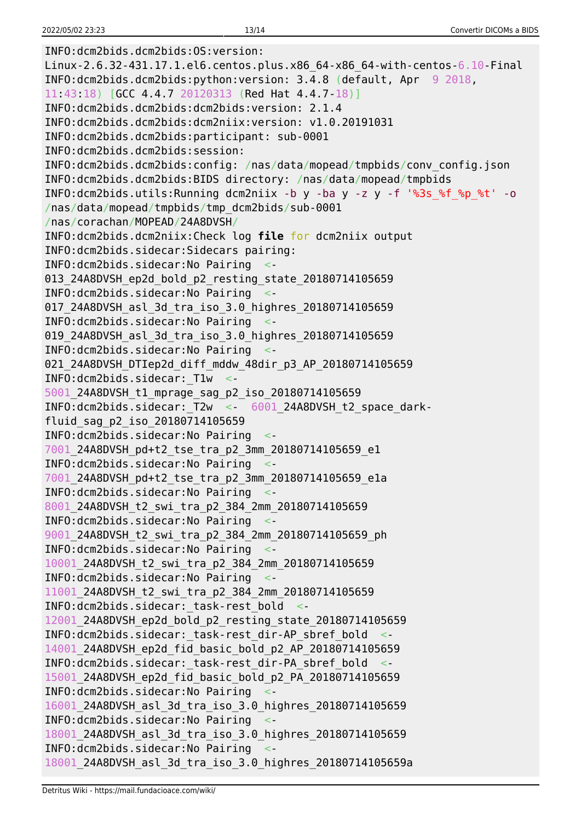INFO:dcm2bids.dcm2bids:OS:version: Linux-2.6.32-431.17.1.el6.centos.plus.x86\_64-x86\_64-with-centos-6.10-Final INFO:dcm2bids.dcm2bids:python:version: 3.4.8 (default, Apr 9 2018, 11:43:18) [GCC 4.4.7 20120313 (Red Hat 4.4.7-18)] INFO:dcm2bids.dcm2bids:dcm2bids:version: 2.1.4 INFO:dcm2bids.dcm2bids:dcm2niix:version: v1.0.20191031 INFO:dcm2bids.dcm2bids:participant: sub-0001 INFO:dcm2bids.dcm2bids:session: INFO:dcm2bids.dcm2bids:config: /nas/data/mopead/tmpbids/conv\_config.json INFO:dcm2bids.dcm2bids:BIDS directory: /nas/data/mopead/tmpbids INFO:dcm2bids.utils:Running dcm2niix -b y -ba y -z y -f '%3s\_%f\_%p\_%t' -o /nas/data/mopead/tmpbids/tmp\_dcm2bids/sub-0001 /nas/corachan/MOPEAD/24A8DVSH/ INFO:dcm2bids.dcm2niix:Check log **file** for dcm2niix output INFO:dcm2bids.sidecar:Sidecars pairing: INFO:dcm2bids.sidecar:No Pairing <- 013 24A8DVSH ep2d bold p2 resting state 20180714105659 INFO:dcm2bids.sidecar:No Pairing <- 017 24A8DVSH asl 3d tra iso 3.0 highres 20180714105659 INFO:dcm2bids.sidecar:No Pairing <- 019 24A8DVSH asl 3d tra iso 3.0 highres 20180714105659 INFO:dcm2bids.sidecar:No Pairing <- 021\_24A8DVSH\_DTIep2d\_diff\_mddw\_48dir\_p3\_AP\_20180714105659 INFO:dcm2bids.sidecar:\_T1w <- 5001\_24A8DVSH\_t1\_mprage\_sag\_p2\_iso\_20180714105659 INFO:dcm2bids.sidecar:\_T2w <- 6001\_24A8DVSH\_t2\_space\_darkfluid\_sag\_p2\_iso\_20180714105659 INFO:dcm2bids.sidecar:No Pairing <- 7001\_24A8DVSH\_pd+t2\_tse\_tra\_p2\_3mm\_20180714105659\_e1 INFO:dcm2bids.sidecar:No Pairing <- 7001\_24A8DVSH\_pd+t2\_tse\_tra\_p2\_3mm\_20180714105659\_e1a INFO:dcm2bids.sidecar:No Pairing <- 8001 24A8DVSH t2 swi tra p2 384 2mm 20180714105659 INFO:dcm2bids.sidecar:No Pairing <- 9001\_24A8DVSH\_t2\_swi\_tra\_p2\_384\_2mm\_20180714105659\_ph INFO:dcm2bids.sidecar:No Pairing <- 10001\_24A8DVSH\_t2\_swi\_tra\_p2\_384\_2mm\_20180714105659 INFO:dcm2bids.sidecar:No Pairing <- 11001\_24A8DVSH\_t2\_swi\_tra\_p2\_384\_2mm\_20180714105659 INFO:dcm2bids.sidecar:\_task-rest\_bold <- 12001\_24A8DVSH\_ep2d\_bold\_p2\_resting\_state\_20180714105659 INFO:dcm2bids.sidecar:\_task-rest\_dir-AP\_sbref\_bold <- 14001\_24A8DVSH\_ep2d\_fid\_basic\_bold\_p2\_AP\_20180714105659 INFO:dcm2bids.sidecar: task-rest dir-PA sbref bold 15001\_24A8DVSH\_ep2d\_fid\_basic\_bold\_p2\_PA\_20180714105659 INFO:dcm2bids.sidecar:No Pairing <- 16001\_24A8DVSH\_asl\_3d\_tra\_iso\_3.0\_highres\_20180714105659 INFO:dcm2bids.sidecar:No Pairing <- 18001\_24A8DVSH\_asl\_3d\_tra\_iso\_3.0\_highres\_20180714105659 INFO:dcm2bids.sidecar:No Pairing <- 18001\_24A8DVSH\_asl\_3d\_tra\_iso\_3.0\_highres\_20180714105659a